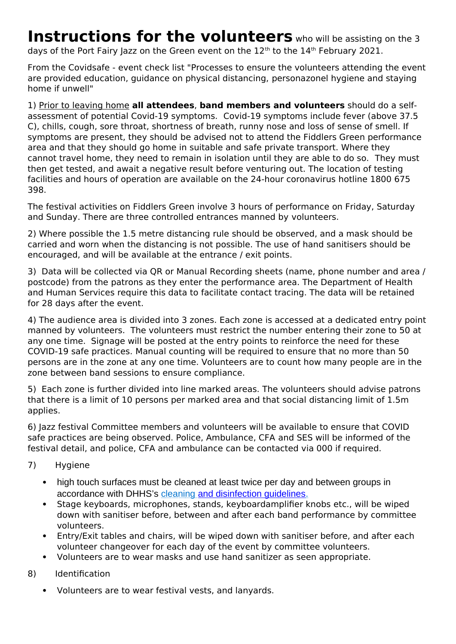# **Instructions for the volunteers** who will be assisting on the 3 days of the Port Fairy Jazz on the Green event on the 12<sup>th</sup> to the 14<sup>th</sup> February 2021.

From the Covidsafe - event check list "Processes to ensure the volunteers attending the event are provided education, guidance on physical distancing, personazonel hygiene and staying home if unwell"

1) Prior to leaving home **all attendees**, **band members and volunteers** should do a selfassessment of potential Covid-19 symptoms. Covid-19 symptoms include fever (above 37.5 C), chills, cough, sore throat, shortness of breath, runny nose and loss of sense of smell. If symptoms are present, they should be advised not to attend the Fiddlers Green performance area and that they should go home in suitable and safe private transport. Where they cannot travel home, they need to remain in isolation until they are able to do so. They must then get tested, and await a negative result before venturing out. The location of testing facilities and hours of operation are available on the 24-hour coronavirus hotline 1800 675 398.

The festival activities on Fiddlers Green involve 3 hours of performance on Friday, Saturday and Sunday. There are three controlled entrances manned by volunteers.

2) Where possible the 1.5 metre distancing rule should be observed, and a mask should be carried and worn when the distancing is not possible. The use of hand sanitisers should be encouraged, and will be available at the entrance / exit points.

3) Data will be collected via QR or Manual Recording sheets (name, phone number and area / postcode) from the patrons as they enter the performance area. The Department of Health and Human Services require this data to facilitate contact tracing. The data will be retained for 28 days after the event.

4) The audience area is divided into 3 zones. Each zone is accessed at a dedicated entry point manned by volunteers. The volunteers must restrict the number entering their zone to 50 at any one time. Signage will be posted at the entry points to reinforce the need for these COVID-19 safe practices. Manual counting will be required to ensure that no more than 50 persons are in the zone at any one time. Volunteers are to count how many people are in the zone between band sessions to ensure compliance.

5) Each zone is further divided into line marked areas. The volunteers should advise patrons that there is a limit of 10 persons per marked area and that social distancing limit of 1.5m applies.

6) Jazz festival Committee members and volunteers will be available to ensure that COVID safe practices are being observed. Police, Ambulance, CFA and SES will be informed of the festival detail, and police, CFA and ambulance can be contacted via 000 if required.

- 7) Hygiene
	- high touch surfaces must be cleaned at least twice per day and between groups in accordance with DHHS's [cleaning and disinfection guidelines.](https://www.coronavirus.vic.gov.au/preventing-infection-workplace#cleaning-and-disinfection)
	- Stage keyboards, microphones, stands, keyboardamplifier knobs etc., will be wiped down with sanitiser before, between and after each band performance by committee volunteers.
	- Entry/Exit tables and chairs, will be wiped down with sanitiser before, and after each volunteer changeover for each day of the event by committee volunteers.
	- Volunteers are to wear masks and use hand sanitizer as seen appropriate.
- 8) Identification
	- Volunteers are to wear festival vests, and lanyards.